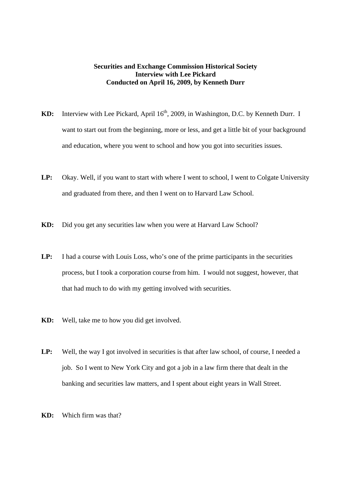## **Securities and Exchange Commission Historical Society Interview with Lee Pickard Conducted on April 16, 2009, by Kenneth Durr**

- KD: Interview with Lee Pickard, April 16<sup>th</sup>, 2009, in Washington, D.C. by Kenneth Durr. I want to start out from the beginning, more or less, and get a little bit of your background and education, where you went to school and how you got into securities issues.
- **LP:** Okay. Well, if you want to start with where I went to school, I went to Colgate University and graduated from there, and then I went on to Harvard Law School.
- **KD:** Did you get any securities law when you were at Harvard Law School?
- LP: I had a course with Louis Loss, who's one of the prime participants in the securities process, but I took a corporation course from him. I would not suggest, however, that that had much to do with my getting involved with securities.
- **KD:** Well, take me to how you did get involved.
- LP: Well, the way I got involved in securities is that after law school, of course, I needed a job. So I went to New York City and got a job in a law firm there that dealt in the banking and securities law matters, and I spent about eight years in Wall Street.
- **KD:** Which firm was that?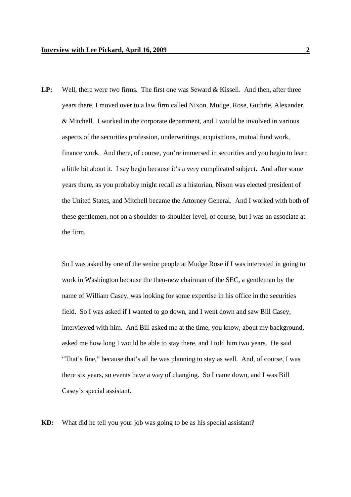**LP:** Well, there were two firms. The first one was Seward & Kissell. And then, after three years there, I moved over to a law firm called Nixon, Mudge, Rose, Guthrie, Alexander, & Mitchell. I worked in the corporate department, and I would be involved in various aspects of the securities profession, underwritings, acquisitions, mutual fund work, finance work. And there, of course, you're immersed in securities and you begin to learn a little bit about it. I say begin because it's a very complicated subject. And after some years there, as you probably might recall as a historian, Nixon was elected president of the United States, and Mitchell became the Attorney General. And I worked with both of these gentlemen, not on a shoulder-to-shoulder level, of course, but I was an associate at the firm.

So I was asked by one of the senior people at Mudge Rose if I was interested in going to work in Washington because the then-new chairman of the SEC, a gentleman by the name of William Casey, was looking for some expertise in his office in the securities field. So I was asked if I wanted to go down, and I went down and saw Bill Casey, interviewed with him. And Bill asked me at the time, you know, about my background, asked me how long I would be able to stay there, and I told him two years. He said "That's fine," because that's all he was planning to stay as well. And, of course, I was there six years, so events have a way of changing. So I came down, and I was Bill Casey's special assistant.

**KD:** What did he tell you your job was going to be as his special assistant?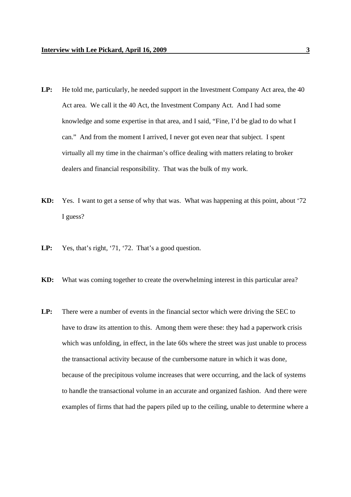- LP: He told me, particularly, he needed support in the Investment Company Act area, the 40 Act area. We call it the 40 Act, the Investment Company Act. And I had some knowledge and some expertise in that area, and I said, "Fine, I'd be glad to do what I can." And from the moment I arrived, I never got even near that subject. I spent virtually all my time in the chairman's office dealing with matters relating to broker dealers and financial responsibility. That was the bulk of my work.
- **KD:** Yes. I want to get a sense of why that was. What was happening at this point, about '72 I guess?
- **LP:** Yes, that's right, '71, '72. That's a good question.
- **KD:** What was coming together to create the overwhelming interest in this particular area?
- **LP:** There were a number of events in the financial sector which were driving the SEC to have to draw its attention to this. Among them were these: they had a paperwork crisis which was unfolding, in effect, in the late 60s where the street was just unable to process the transactional activity because of the cumbersome nature in which it was done, because of the precipitous volume increases that were occurring, and the lack of systems to handle the transactional volume in an accurate and organized fashion. And there were examples of firms that had the papers piled up to the ceiling, unable to determine where a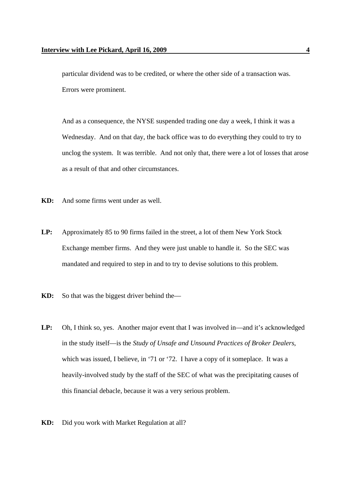particular dividend was to be credited, or where the other side of a transaction was. Errors were prominent.

And as a consequence, the NYSE suspended trading one day a week, I think it was a Wednesday. And on that day, the back office was to do everything they could to try to unclog the system. It was terrible. And not only that, there were a lot of losses that arose as a result of that and other circumstances.

- **KD:** And some firms went under as well.
- **LP:** Approximately 85 to 90 firms failed in the street, a lot of them New York Stock Exchange member firms. And they were just unable to handle it. So the SEC was mandated and required to step in and to try to devise solutions to this problem.
- **KD:** So that was the biggest driver behind the—
- **LP:** Oh, I think so, yes. Another major event that I was involved in—and it's acknowledged in the study itself—is the *Study of Unsafe and Unsound Practices of Broker Dealers*, which was issued, I believe, in '71 or '72. I have a copy of it someplace. It was a heavily-involved study by the staff of the SEC of what was the precipitating causes of this financial debacle, because it was a very serious problem.
- **KD:** Did you work with Market Regulation at all?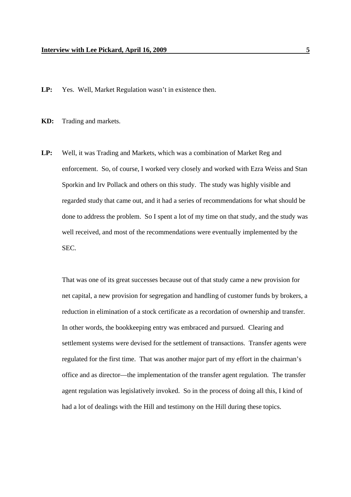**LP:** Yes. Well, Market Regulation wasn't in existence then.

**KD:** Trading and markets.

**LP:** Well, it was Trading and Markets, which was a combination of Market Reg and enforcement. So, of course, I worked very closely and worked with Ezra Weiss and Stan Sporkin and Irv Pollack and others on this study. The study was highly visible and regarded study that came out, and it had a series of recommendations for what should be done to address the problem. So I spent a lot of my time on that study, and the study was well received, and most of the recommendations were eventually implemented by the SEC.

That was one of its great successes because out of that study came a new provision for net capital, a new provision for segregation and handling of customer funds by brokers, a reduction in elimination of a stock certificate as a recordation of ownership and transfer. In other words, the bookkeeping entry was embraced and pursued. Clearing and settlement systems were devised for the settlement of transactions. Transfer agents were regulated for the first time. That was another major part of my effort in the chairman's office and as director—the implementation of the transfer agent regulation. The transfer agent regulation was legislatively invoked. So in the process of doing all this, I kind of had a lot of dealings with the Hill and testimony on the Hill during these topics.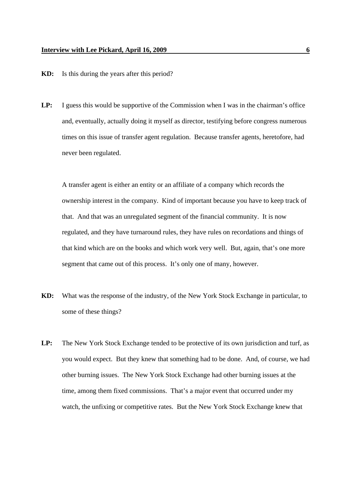- **KD:** Is this during the years after this period?
- **LP:** I guess this would be supportive of the Commission when I was in the chairman's office and, eventually, actually doing it myself as director, testifying before congress numerous times on this issue of transfer agent regulation. Because transfer agents, heretofore, had never been regulated.

A transfer agent is either an entity or an affiliate of a company which records the ownership interest in the company. Kind of important because you have to keep track of that. And that was an unregulated segment of the financial community. It is now regulated, and they have turnaround rules, they have rules on recordations and things of that kind which are on the books and which work very well. But, again, that's one more segment that came out of this process. It's only one of many, however.

- **KD:** What was the response of the industry, of the New York Stock Exchange in particular, to some of these things?
- **LP:** The New York Stock Exchange tended to be protective of its own jurisdiction and turf, as you would expect. But they knew that something had to be done. And, of course, we had other burning issues. The New York Stock Exchange had other burning issues at the time, among them fixed commissions. That's a major event that occurred under my watch, the unfixing or competitive rates. But the New York Stock Exchange knew that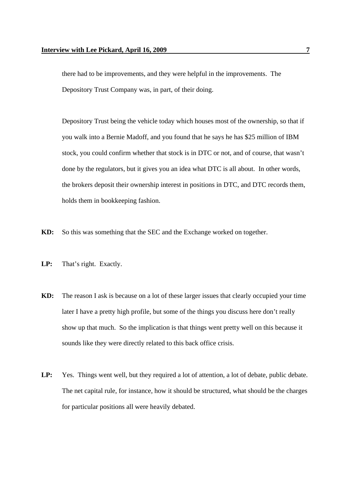there had to be improvements, and they were helpful in the improvements. The Depository Trust Company was, in part, of their doing.

Depository Trust being the vehicle today which houses most of the ownership, so that if you walk into a Bernie Madoff, and you found that he says he has \$25 million of IBM stock, you could confirm whether that stock is in DTC or not, and of course, that wasn't done by the regulators, but it gives you an idea what DTC is all about. In other words, the brokers deposit their ownership interest in positions in DTC, and DTC records them, holds them in bookkeeping fashion.

- **KD:** So this was something that the SEC and the Exchange worked on together.
- **LP:** That's right. Exactly.
- **KD:** The reason I ask is because on a lot of these larger issues that clearly occupied your time later I have a pretty high profile, but some of the things you discuss here don't really show up that much. So the implication is that things went pretty well on this because it sounds like they were directly related to this back office crisis.
- LP: Yes. Things went well, but they required a lot of attention, a lot of debate, public debate. The net capital rule, for instance, how it should be structured, what should be the charges for particular positions all were heavily debated.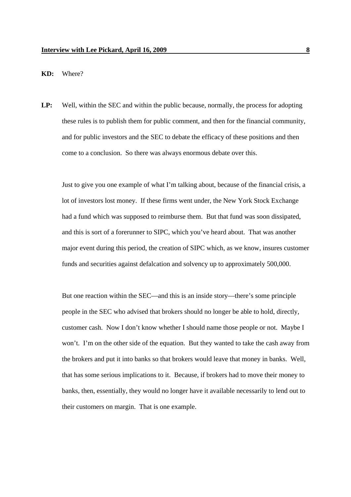## **KD:** Where?

**LP:** Well, within the SEC and within the public because, normally, the process for adopting these rules is to publish them for public comment, and then for the financial community, and for public investors and the SEC to debate the efficacy of these positions and then come to a conclusion. So there was always enormous debate over this.

Just to give you one example of what I'm talking about, because of the financial crisis, a lot of investors lost money. If these firms went under, the New York Stock Exchange had a fund which was supposed to reimburse them. But that fund was soon dissipated, and this is sort of a forerunner to SIPC, which you've heard about. That was another major event during this period, the creation of SIPC which, as we know, insures customer funds and securities against defalcation and solvency up to approximately 500,000.

But one reaction within the SEC—and this is an inside story—there's some principle people in the SEC who advised that brokers should no longer be able to hold, directly, customer cash. Now I don't know whether I should name those people or not. Maybe I won't. I'm on the other side of the equation. But they wanted to take the cash away from the brokers and put it into banks so that brokers would leave that money in banks. Well, that has some serious implications to it. Because, if brokers had to move their money to banks, then, essentially, they would no longer have it available necessarily to lend out to their customers on margin. That is one example.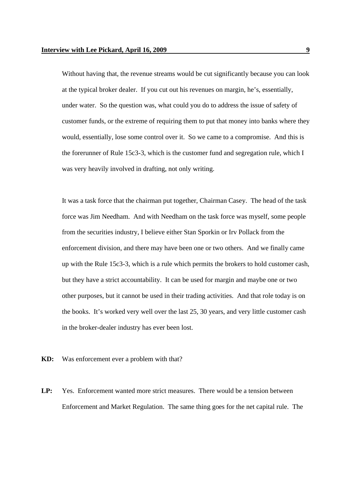Without having that, the revenue streams would be cut significantly because you can look at the typical broker dealer. If you cut out his revenues on margin, he's, essentially, under water. So the question was, what could you do to address the issue of safety of customer funds, or the extreme of requiring them to put that money into banks where they would, essentially, lose some control over it. So we came to a compromise. And this is the forerunner of Rule 15c3-3, which is the customer fund and segregation rule, which I was very heavily involved in drafting, not only writing.

It was a task force that the chairman put together, Chairman Casey. The head of the task force was Jim Needham. And with Needham on the task force was myself, some people from the securities industry, I believe either Stan Sporkin or Irv Pollack from the enforcement division, and there may have been one or two others. And we finally came up with the Rule 15c3-3, which is a rule which permits the brokers to hold customer cash, but they have a strict accountability. It can be used for margin and maybe one or two other purposes, but it cannot be used in their trading activities. And that role today is on the books. It's worked very well over the last 25, 30 years, and very little customer cash in the broker-dealer industry has ever been lost.

- **KD:** Was enforcement ever a problem with that?
- LP: Yes. Enforcement wanted more strict measures. There would be a tension between Enforcement and Market Regulation. The same thing goes for the net capital rule. The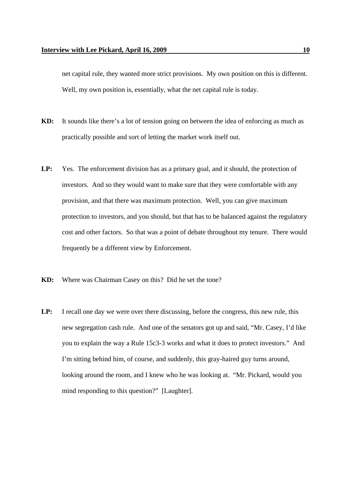net capital rule, they wanted more strict provisions. My own position on this is different. Well, my own position is, essentially, what the net capital rule is today.

- **KD:** It sounds like there's a lot of tension going on between the idea of enforcing as much as practically possible and sort of letting the market work itself out.
- LP: Yes. The enforcement division has as a primary goal, and it should, the protection of investors. And so they would want to make sure that they were comfortable with any provision, and that there was maximum protection. Well, you can give maximum protection to investors, and you should, but that has to be balanced against the regulatory cost and other factors. So that was a point of debate throughout my tenure. There would frequently be a different view by Enforcement.
- **KD:** Where was Chairman Casey on this? Did he set the tone?
- **LP:** I recall one day we were over there discussing, before the congress, this new rule, this new segregation cash rule. And one of the senators got up and said, "Mr. Casey, I'd like you to explain the way a Rule 15c3-3 works and what it does to protect investors." And I'm sitting behind him, of course, and suddenly, this gray-haired guy turns around, looking around the room, and I knew who he was looking at. "Mr. Pickard, would you mind responding to this question?" [Laughter].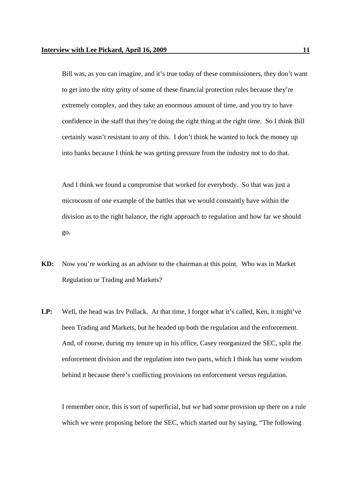Bill was, as you can imagine, and it's true today of these commissioners, they don't want to get into the nitty gritty of some of these financial protection rules because they're extremely complex, and they take an enormous amount of time, and you try to have confidence in the staff that they're doing the right thing at the right time. So I think Bill certainly wasn't resistant to any of this. I don't think he wanted to lock the money up into banks because I think he was getting pressure from the industry not to do that.

And I think we found a compromise that worked for everybody. So that was just a microcosm of one example of the battles that we would constantly have within the division as to the right balance, the right approach to regulation and how far we should go.

- **KD:** Now you're working as an advisor to the chairman at this point. Who was in Market Regulation or Trading and Markets?
- **LP:** Well, the head was Irv Pollack. At that time, I forgot what it's called, Ken, it might've been Trading and Markets, but he headed up both the regulation and the enforcement. And, of course, during my tenure up in his office, Casey reorganized the SEC, split the enforcement division and the regulation into two parts, which I think has some wisdom behind it because there's conflicting provisions on enforcement versus regulation.

I remember once, this is sort of superficial, but we had some provision up there on a rule which we were proposing before the SEC, which started out by saying, "The following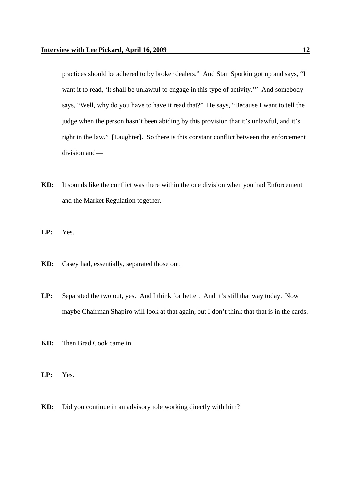practices should be adhered to by broker dealers." And Stan Sporkin got up and says, "I want it to read, 'It shall be unlawful to engage in this type of activity.'" And somebody says, "Well, why do you have to have it read that?" He says, "Because I want to tell the judge when the person hasn't been abiding by this provision that it's unlawful, and it's right in the law." [Laughter]. So there is this constant conflict between the enforcement division and—

- **KD:** It sounds like the conflict was there within the one division when you had Enforcement and the Market Regulation together.
- **LP:** Yes.
- **KD:** Casey had, essentially, separated those out.
- **LP:** Separated the two out, yes. And I think for better. And it's still that way today. Now maybe Chairman Shapiro will look at that again, but I don't think that that is in the cards.
- **KD:** Then Brad Cook came in.
- **LP:** Yes.
- **KD:** Did you continue in an advisory role working directly with him?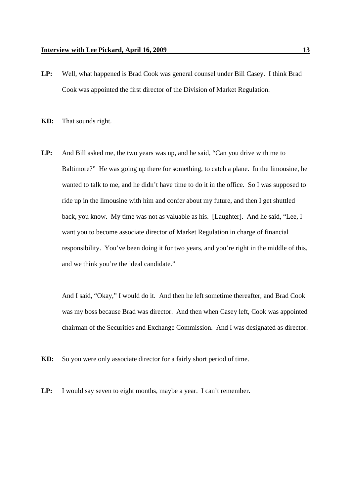- **LP:** Well, what happened is Brad Cook was general counsel under Bill Casey. I think Brad Cook was appointed the first director of the Division of Market Regulation.
- **KD:** That sounds right.
- **LP:** And Bill asked me, the two years was up, and he said, "Can you drive with me to Baltimore?" He was going up there for something, to catch a plane. In the limousine, he wanted to talk to me, and he didn't have time to do it in the office. So I was supposed to ride up in the limousine with him and confer about my future, and then I get shuttled back, you know. My time was not as valuable as his. [Laughter]. And he said, "Lee, I want you to become associate director of Market Regulation in charge of financial responsibility. You've been doing it for two years, and you're right in the middle of this, and we think you're the ideal candidate."

And I said, "Okay," I would do it. And then he left sometime thereafter, and Brad Cook was my boss because Brad was director. And then when Casey left, Cook was appointed chairman of the Securities and Exchange Commission. And I was designated as director.

**KD:** So you were only associate director for a fairly short period of time.

LP: I would say seven to eight months, maybe a year. I can't remember.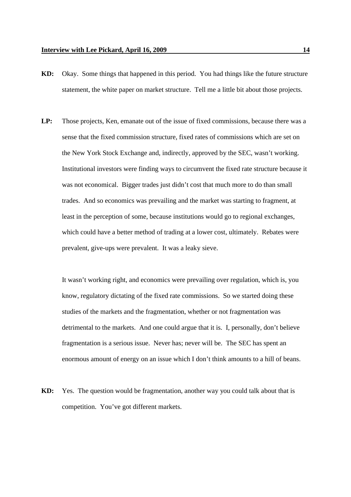- **KD:** Okay. Some things that happened in this period. You had things like the future structure statement, the white paper on market structure. Tell me a little bit about those projects.
- **LP:** Those projects, Ken, emanate out of the issue of fixed commissions, because there was a sense that the fixed commission structure, fixed rates of commissions which are set on the New York Stock Exchange and, indirectly, approved by the SEC, wasn't working. Institutional investors were finding ways to circumvent the fixed rate structure because it was not economical. Bigger trades just didn't cost that much more to do than small trades. And so economics was prevailing and the market was starting to fragment, at least in the perception of some, because institutions would go to regional exchanges, which could have a better method of trading at a lower cost, ultimately. Rebates were prevalent, give-ups were prevalent. It was a leaky sieve.

It wasn't working right, and economics were prevailing over regulation, which is, you know, regulatory dictating of the fixed rate commissions. So we started doing these studies of the markets and the fragmentation, whether or not fragmentation was detrimental to the markets. And one could argue that it is. I, personally, don't believe fragmentation is a serious issue. Never has; never will be. The SEC has spent an enormous amount of energy on an issue which I don't think amounts to a hill of beans.

**KD:** Yes. The question would be fragmentation, another way you could talk about that is competition. You've got different markets.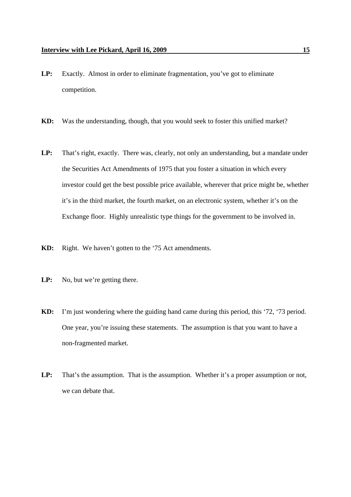- **LP:** Exactly. Almost in order to eliminate fragmentation, you've got to eliminate competition.
- **KD:** Was the understanding, though, that you would seek to foster this unified market?
- **LP:** That's right, exactly. There was, clearly, not only an understanding, but a mandate under the Securities Act Amendments of 1975 that you foster a situation in which every investor could get the best possible price available, wherever that price might be, whether it's in the third market, the fourth market, on an electronic system, whether it's on the Exchange floor. Highly unrealistic type things for the government to be involved in.
- **KD:** Right. We haven't gotten to the '75 Act amendments.
- LP: No, but we're getting there.
- **KD:** I'm just wondering where the guiding hand came during this period, this '72, '73 period. One year, you're issuing these statements. The assumption is that you want to have a non-fragmented market.
- LP: That's the assumption. That is the assumption. Whether it's a proper assumption or not, we can debate that.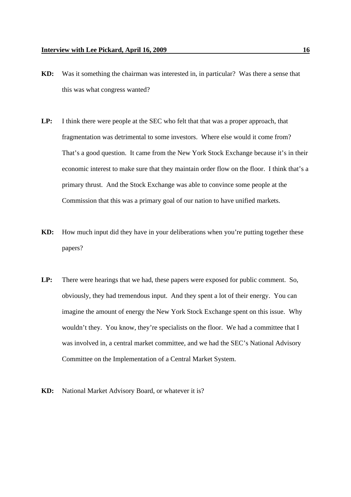- **KD:** Was it something the chairman was interested in, in particular? Was there a sense that this was what congress wanted?
- **LP:** I think there were people at the SEC who felt that that was a proper approach, that fragmentation was detrimental to some investors. Where else would it come from? That's a good question. It came from the New York Stock Exchange because it's in their economic interest to make sure that they maintain order flow on the floor. I think that's a primary thrust. And the Stock Exchange was able to convince some people at the Commission that this was a primary goal of our nation to have unified markets.
- **KD:** How much input did they have in your deliberations when you're putting together these papers?
- **LP:** There were hearings that we had, these papers were exposed for public comment. So, obviously, they had tremendous input. And they spent a lot of their energy. You can imagine the amount of energy the New York Stock Exchange spent on this issue. Why wouldn't they. You know, they're specialists on the floor. We had a committee that I was involved in, a central market committee, and we had the SEC's National Advisory Committee on the Implementation of a Central Market System.
- **KD:** National Market Advisory Board, or whatever it is?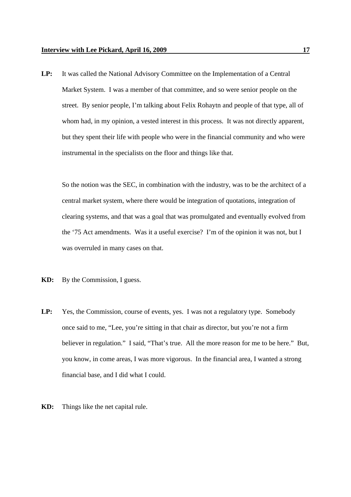**LP:** It was called the National Advisory Committee on the Implementation of a Central Market System. I was a member of that committee, and so were senior people on the street. By senior people, I'm talking about Felix Rohaytn and people of that type, all of whom had, in my opinion, a vested interest in this process. It was not directly apparent, but they spent their life with people who were in the financial community and who were instrumental in the specialists on the floor and things like that.

So the notion was the SEC, in combination with the industry, was to be the architect of a central market system, where there would be integration of quotations, integration of clearing systems, and that was a goal that was promulgated and eventually evolved from the '75 Act amendments. Was it a useful exercise? I'm of the opinion it was not, but I was overruled in many cases on that.

- **KD:** By the Commission, I guess.
- LP: Yes, the Commission, course of events, yes. I was not a regulatory type. Somebody once said to me, "Lee, you're sitting in that chair as director, but you're not a firm believer in regulation." I said, "That's true. All the more reason for me to be here." But, you know, in come areas, I was more vigorous. In the financial area, I wanted a strong financial base, and I did what I could.
- **KD:** Things like the net capital rule.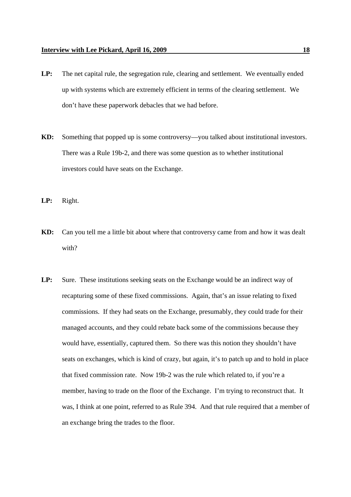- **LP:** The net capital rule, the segregation rule, clearing and settlement. We eventually ended up with systems which are extremely efficient in terms of the clearing settlement. We don't have these paperwork debacles that we had before.
- **KD:** Something that popped up is some controversy—you talked about institutional investors. There was a Rule 19b-2, and there was some question as to whether institutional investors could have seats on the Exchange.

**LP:** Right.

- **KD:** Can you tell me a little bit about where that controversy came from and how it was dealt with?
- LP: Sure. These institutions seeking seats on the Exchange would be an indirect way of recapturing some of these fixed commissions. Again, that's an issue relating to fixed commissions. If they had seats on the Exchange, presumably, they could trade for their managed accounts, and they could rebate back some of the commissions because they would have, essentially, captured them. So there was this notion they shouldn't have seats on exchanges, which is kind of crazy, but again, it's to patch up and to hold in place that fixed commission rate. Now 19b-2 was the rule which related to, if you're a member, having to trade on the floor of the Exchange. I'm trying to reconstruct that. It was, I think at one point, referred to as Rule 394. And that rule required that a member of an exchange bring the trades to the floor.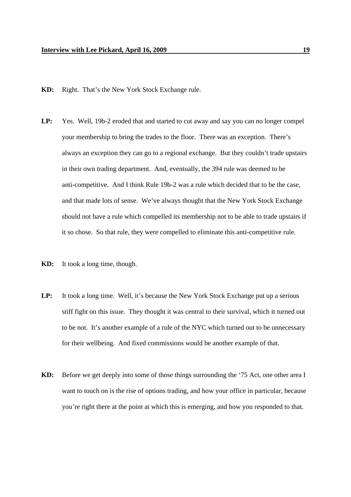- **KD:** Right. That's the New York Stock Exchange rule.
- **LP:** Yes. Well, 19b-2 eroded that and started to cut away and say you can no longer compel your membership to bring the trades to the floor. There was an exception. There's always an exception they can go to a regional exchange. But they couldn't trade upstairs in their own trading department. And, eventually, the 394 rule was deemed to be anti-competitive. And I think Rule 19b-2 was a rule which decided that to be the case, and that made lots of sense. We've always thought that the New York Stock Exchange should not have a rule which compelled its membership not to be able to trade upstairs if it so chose. So that rule, they were compelled to eliminate this anti-competitive rule.
- **KD:** It took a long time, though.
- **LP:** It took a long time. Well, it's because the New York Stock Exchange put up a serious stiff fight on this issue. They thought it was central to their survival, which it turned out to be not. It's another example of a rule of the NYC which turned out to be unnecessary for their wellbeing. And fixed commissions would be another example of that.
- **KD:** Before we get deeply into some of those things surrounding the '75 Act, one other area I want to touch on is the rise of options trading, and how your office in particular, because you're right there at the point at which this is emerging, and how you responded to that.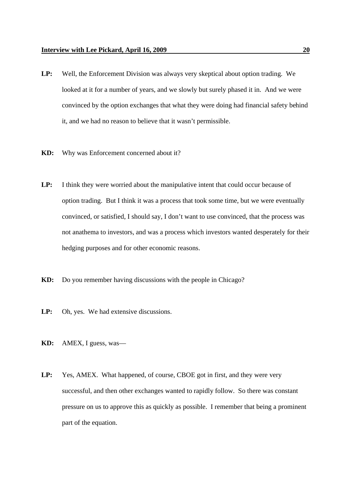- **LP:** Well, the Enforcement Division was always very skeptical about option trading. We looked at it for a number of years, and we slowly but surely phased it in. And we were convinced by the option exchanges that what they were doing had financial safety behind it, and we had no reason to believe that it wasn't permissible.
- **KD:** Why was Enforcement concerned about it?
- **LP:** I think they were worried about the manipulative intent that could occur because of option trading. But I think it was a process that took some time, but we were eventually convinced, or satisfied, I should say, I don't want to use convinced, that the process was not anathema to investors, and was a process which investors wanted desperately for their hedging purposes and for other economic reasons.
- **KD:** Do you remember having discussions with the people in Chicago?
- **LP:** Oh, yes. We had extensive discussions.
- **KD:** AMEX, I guess, was—
- **LP:** Yes, AMEX. What happened, of course, CBOE got in first, and they were very successful, and then other exchanges wanted to rapidly follow. So there was constant pressure on us to approve this as quickly as possible. I remember that being a prominent part of the equation.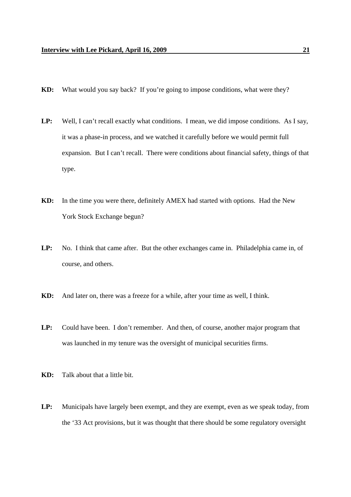- **KD:** What would you say back? If you're going to impose conditions, what were they?
- LP: Well, I can't recall exactly what conditions. I mean, we did impose conditions. As I say, it was a phase-in process, and we watched it carefully before we would permit full expansion. But I can't recall. There were conditions about financial safety, things of that type.
- **KD:** In the time you were there, definitely AMEX had started with options. Had the New York Stock Exchange begun?
- **LP:** No. I think that came after. But the other exchanges came in. Philadelphia came in, of course, and others.
- **KD:** And later on, there was a freeze for a while, after your time as well, I think.
- **LP:** Could have been. I don't remember. And then, of course, another major program that was launched in my tenure was the oversight of municipal securities firms.
- **KD:** Talk about that a little bit.
- **LP:** Municipals have largely been exempt, and they are exempt, even as we speak today, from the '33 Act provisions, but it was thought that there should be some regulatory oversight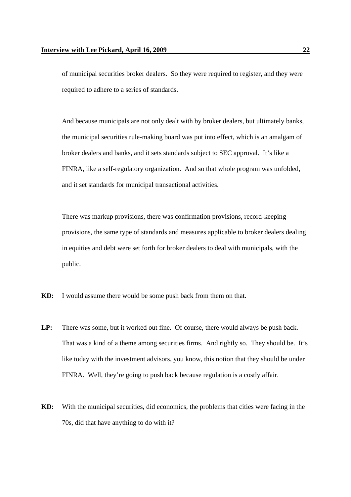of municipal securities broker dealers. So they were required to register, and they were required to adhere to a series of standards.

And because municipals are not only dealt with by broker dealers, but ultimately banks, the municipal securities rule-making board was put into effect, which is an amalgam of broker dealers and banks, and it sets standards subject to SEC approval. It's like a FINRA, like a self-regulatory organization. And so that whole program was unfolded, and it set standards for municipal transactional activities.

There was markup provisions, there was confirmation provisions, record-keeping provisions, the same type of standards and measures applicable to broker dealers dealing in equities and debt were set forth for broker dealers to deal with municipals, with the public.

- **KD:** I would assume there would be some push back from them on that.
- **LP:** There was some, but it worked out fine. Of course, there would always be push back. That was a kind of a theme among securities firms. And rightly so. They should be. It's like today with the investment advisors, you know, this notion that they should be under FINRA. Well, they're going to push back because regulation is a costly affair.
- **KD:** With the municipal securities, did economics, the problems that cities were facing in the 70s, did that have anything to do with it?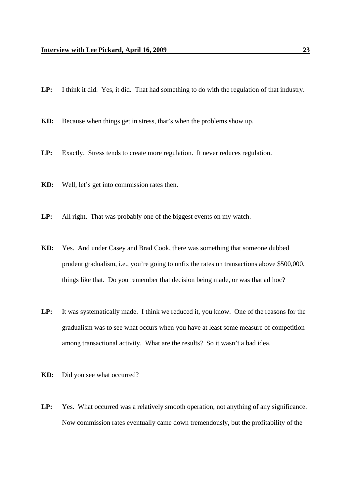- **LP:** I think it did. Yes, it did. That had something to do with the regulation of that industry.
- **KD:** Because when things get in stress, that's when the problems show up.
- **LP:** Exactly. Stress tends to create more regulation. It never reduces regulation.
- **KD:** Well, let's get into commission rates then.
- LP: All right. That was probably one of the biggest events on my watch.
- **KD:** Yes. And under Casey and Brad Cook, there was something that someone dubbed prudent gradualism, i.e., you're going to unfix the rates on transactions above \$500,000, things like that. Do you remember that decision being made, or was that ad hoc?
- **LP:** It was systematically made. I think we reduced it, you know. One of the reasons for the gradualism was to see what occurs when you have at least some measure of competition among transactional activity. What are the results? So it wasn't a bad idea.
- **KD:** Did you see what occurred?
- LP: Yes. What occurred was a relatively smooth operation, not anything of any significance. Now commission rates eventually came down tremendously, but the profitability of the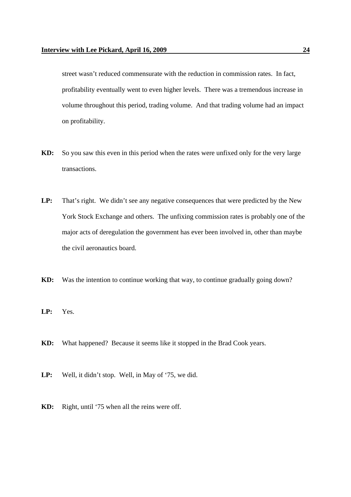street wasn't reduced commensurate with the reduction in commission rates. In fact, profitability eventually went to even higher levels. There was a tremendous increase in volume throughout this period, trading volume. And that trading volume had an impact on profitability.

- **KD:** So you saw this even in this period when the rates were unfixed only for the very large transactions.
- LP: That's right. We didn't see any negative consequences that were predicted by the New York Stock Exchange and others. The unfixing commission rates is probably one of the major acts of deregulation the government has ever been involved in, other than maybe the civil aeronautics board.
- **KD:** Was the intention to continue working that way, to continue gradually going down?
- **LP:** Yes.
- **KD:** What happened? Because it seems like it stopped in the Brad Cook years.
- **LP:** Well, it didn't stop. Well, in May of '75, we did.
- **KD:** Right, until '75 when all the reins were off.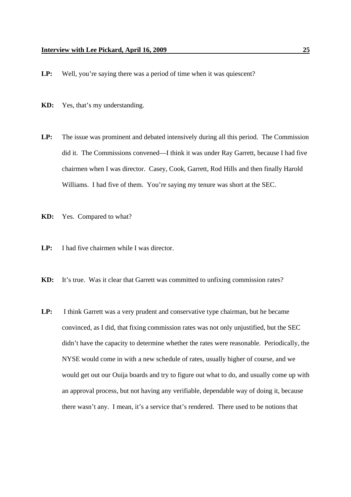- LP: Well, you're saying there was a period of time when it was quiescent?
- **KD:** Yes, that's my understanding.
- **LP:** The issue was prominent and debated intensively during all this period. The Commission did it. The Commissions convened—I think it was under Ray Garrett, because I had five chairmen when I was director. Casey, Cook, Garrett, Rod Hills and then finally Harold Williams. I had five of them. You're saying my tenure was short at the SEC.
- **KD:** Yes. Compared to what?
- **LP:** I had five chairmen while I was director.
- **KD:** It's true. Was it clear that Garrett was committed to unfixing commission rates?
- **LP:** I think Garrett was a very prudent and conservative type chairman, but he became convinced, as I did, that fixing commission rates was not only unjustified, but the SEC didn't have the capacity to determine whether the rates were reasonable. Periodically, the NYSE would come in with a new schedule of rates, usually higher of course, and we would get out our Ouija boards and try to figure out what to do, and usually come up with an approval process, but not having any verifiable, dependable way of doing it, because there wasn't any. I mean, it's a service that's rendered. There used to be notions that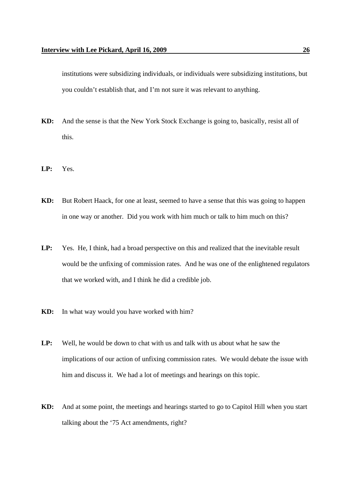institutions were subsidizing individuals, or individuals were subsidizing institutions, but you couldn't establish that, and I'm not sure it was relevant to anything.

- **KD:** And the sense is that the New York Stock Exchange is going to, basically, resist all of this.
- **LP:** Yes.
- **KD:** But Robert Haack, for one at least, seemed to have a sense that this was going to happen in one way or another. Did you work with him much or talk to him much on this?
- **LP:** Yes. He, I think, had a broad perspective on this and realized that the inevitable result would be the unfixing of commission rates. And he was one of the enlightened regulators that we worked with, and I think he did a credible job.
- **KD:** In what way would you have worked with him?
- **LP:** Well, he would be down to chat with us and talk with us about what he saw the implications of our action of unfixing commission rates. We would debate the issue with him and discuss it. We had a lot of meetings and hearings on this topic.
- **KD:** And at some point, the meetings and hearings started to go to Capitol Hill when you start talking about the '75 Act amendments, right?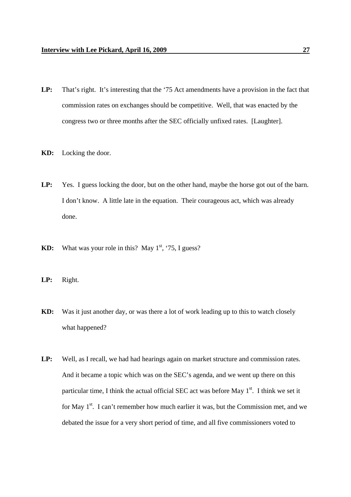- **LP:** That's right. It's interesting that the '75 Act amendments have a provision in the fact that commission rates on exchanges should be competitive. Well, that was enacted by the congress two or three months after the SEC officially unfixed rates. [Laughter].
- **KD:** Locking the door.
- **LP:** Yes. I guess locking the door, but on the other hand, maybe the horse got out of the barn. I don't know. A little late in the equation. Their courageous act, which was already done.
- **KD:** What was your role in this? May  $1<sup>st</sup>$ , '75, I guess?
- **LP:** Right.
- **KD:** Was it just another day, or was there a lot of work leading up to this to watch closely what happened?
- **LP:** Well, as I recall, we had had hearings again on market structure and commission rates. And it became a topic which was on the SEC's agenda, and we went up there on this particular time, I think the actual official SEC act was before May  $1<sup>st</sup>$ . I think we set it for May  $1<sup>st</sup>$ . I can't remember how much earlier it was, but the Commission met, and we debated the issue for a very short period of time, and all five commissioners voted to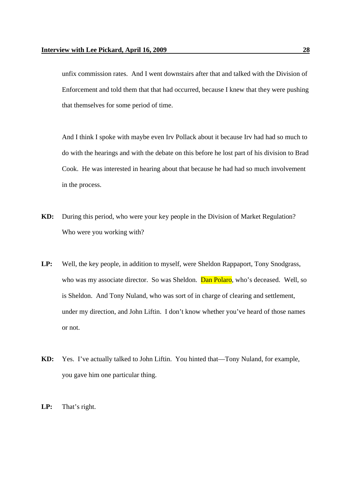unfix commission rates. And I went downstairs after that and talked with the Division of Enforcement and told them that that had occurred, because I knew that they were pushing that themselves for some period of time.

And I think I spoke with maybe even Irv Pollack about it because Irv had had so much to do with the hearings and with the debate on this before he lost part of his division to Brad Cook. He was interested in hearing about that because he had had so much involvement in the process.

- **KD:** During this period, who were your key people in the Division of Market Regulation? Who were you working with?
- **LP:** Well, the key people, in addition to myself, were Sheldon Rappaport, Tony Snodgrass, who was my associate director. So was Sheldon. Dan Polaro, who's deceased. Well, so is Sheldon. And Tony Nuland, who was sort of in charge of clearing and settlement, under my direction, and John Liftin. I don't know whether you've heard of those names or not.
- **KD:** Yes. I've actually talked to John Liftin. You hinted that—Tony Nuland, for example, you gave him one particular thing.
- **LP:** That's right.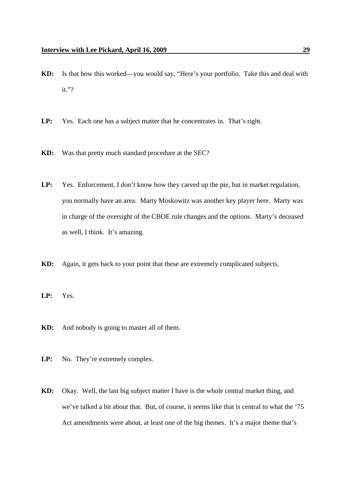- **KD:** Is that how this worked—you would say, "Here's your portfolio. Take this and deal with it."?
- **LP:** Yes. Each one has a subject matter that he concentrates in. That's right.
- **KD:** Was that pretty much standard procedure at the SEC?
- LP: Yes. Enforcement, I don't know how they carved up the pie, but in market regulation, you normally have an area. Marty Moskowitz was another key player here. Marty was in charge of the oversight of the CBOE rule changes and the options. Marty's deceased as well, I think. It's amazing.
- **KD:** Again, it gets back to your point that these are extremely complicated subjects.
- **LP:** Yes.
- **KD:** And nobody is going to master all of them.
- LP: No. They're extremely complex.
- **KD:** Okay. Well, the last big subject matter I have is the whole central market thing, and we've talked a bit about that. But, of course, it seems like that is central to what the '75 Act amendments were about, at least one of the big themes. It's a major theme that's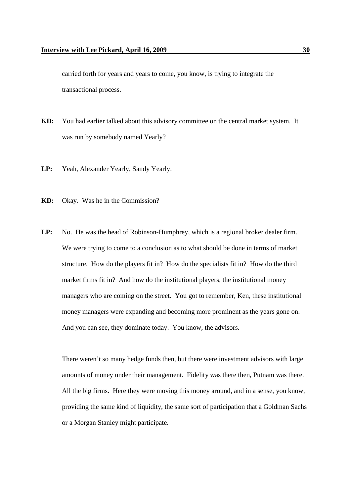carried forth for years and years to come, you know, is trying to integrate the transactional process.

- **KD:** You had earlier talked about this advisory committee on the central market system. It was run by somebody named Yearly?
- **LP:** Yeah, Alexander Yearly, Sandy Yearly.
- **KD:** Okay. Was he in the Commission?
- **LP:** No. He was the head of Robinson-Humphrey, which is a regional broker dealer firm. We were trying to come to a conclusion as to what should be done in terms of market structure. How do the players fit in? How do the specialists fit in? How do the third market firms fit in? And how do the institutional players, the institutional money managers who are coming on the street. You got to remember, Ken, these institutional money managers were expanding and becoming more prominent as the years gone on. And you can see, they dominate today. You know, the advisors.

There weren't so many hedge funds then, but there were investment advisors with large amounts of money under their management. Fidelity was there then, Putnam was there. All the big firms. Here they were moving this money around, and in a sense, you know, providing the same kind of liquidity, the same sort of participation that a Goldman Sachs or a Morgan Stanley might participate.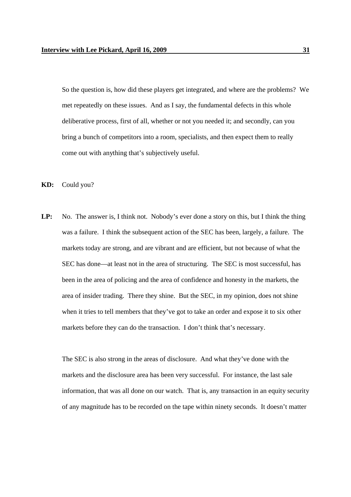So the question is, how did these players get integrated, and where are the problems? We met repeatedly on these issues. And as I say, the fundamental defects in this whole deliberative process, first of all, whether or not you needed it; and secondly, can you bring a bunch of competitors into a room, specialists, and then expect them to really come out with anything that's subjectively useful.

**KD:** Could you?

**LP:** No. The answer is, I think not. Nobody's ever done a story on this, but I think the thing was a failure. I think the subsequent action of the SEC has been, largely, a failure. The markets today are strong, and are vibrant and are efficient, but not because of what the SEC has done—at least not in the area of structuring. The SEC is most successful, has been in the area of policing and the area of confidence and honesty in the markets, the area of insider trading. There they shine. But the SEC, in my opinion, does not shine when it tries to tell members that they've got to take an order and expose it to six other markets before they can do the transaction. I don't think that's necessary.

The SEC is also strong in the areas of disclosure. And what they've done with the markets and the disclosure area has been very successful. For instance, the last sale information, that was all done on our watch. That is, any transaction in an equity security of any magnitude has to be recorded on the tape within ninety seconds. It doesn't matter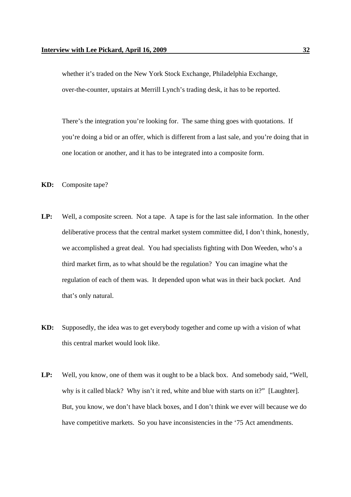whether it's traded on the New York Stock Exchange, Philadelphia Exchange, over-the-counter, upstairs at Merrill Lynch's trading desk, it has to be reported.

There's the integration you're looking for. The same thing goes with quotations. If you're doing a bid or an offer, which is different from a last sale, and you're doing that in one location or another, and it has to be integrated into a composite form.

- **KD:** Composite tape?
- **LP:** Well, a composite screen. Not a tape. A tape is for the last sale information. In the other deliberative process that the central market system committee did, I don't think, honestly, we accomplished a great deal. You had specialists fighting with Don Weeden, who's a third market firm, as to what should be the regulation? You can imagine what the regulation of each of them was. It depended upon what was in their back pocket. And that's only natural.
- **KD:** Supposedly, the idea was to get everybody together and come up with a vision of what this central market would look like.
- **LP:** Well, you know, one of them was it ought to be a black box. And somebody said, "Well, why is it called black? Why isn't it red, white and blue with starts on it?" [Laughter]. But, you know, we don't have black boxes, and I don't think we ever will because we do have competitive markets. So you have inconsistencies in the '75 Act amendments.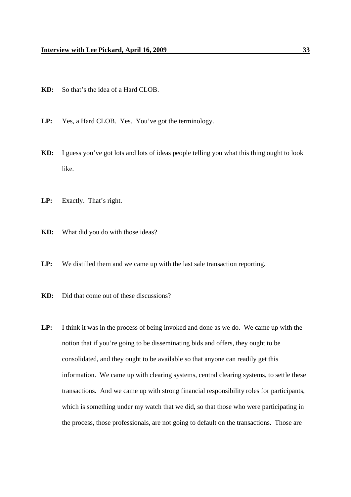- **KD:** So that's the idea of a Hard CLOB.
- **LP:** Yes, a Hard CLOB. Yes. You've got the terminology.
- **KD:** I guess you've got lots and lots of ideas people telling you what this thing ought to look like.
- **LP:** Exactly. That's right.
- **KD:** What did you do with those ideas?
- **LP:** We distilled them and we came up with the last sale transaction reporting.
- **KD:** Did that come out of these discussions?
- **LP:** I think it was in the process of being invoked and done as we do. We came up with the notion that if you're going to be disseminating bids and offers, they ought to be consolidated, and they ought to be available so that anyone can readily get this information. We came up with clearing systems, central clearing systems, to settle these transactions. And we came up with strong financial responsibility roles for participants, which is something under my watch that we did, so that those who were participating in the process, those professionals, are not going to default on the transactions. Those are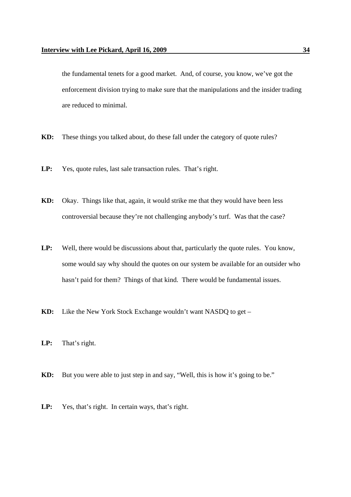the fundamental tenets for a good market. And, of course, you know, we've got the enforcement division trying to make sure that the manipulations and the insider trading are reduced to minimal.

- **KD:** These things you talked about, do these fall under the category of quote rules?
- **LP:** Yes, quote rules, last sale transaction rules. That's right.
- **KD:** Okay. Things like that, again, it would strike me that they would have been less controversial because they're not challenging anybody's turf. Was that the case?
- **LP:** Well, there would be discussions about that, particularly the quote rules. You know, some would say why should the quotes on our system be available for an outsider who hasn't paid for them? Things of that kind. There would be fundamental issues.
- **KD:** Like the New York Stock Exchange wouldn't want NASDQ to get –
- **LP:** That's right.
- **KD:** But you were able to just step in and say, "Well, this is how it's going to be."
- **LP:** Yes, that's right. In certain ways, that's right.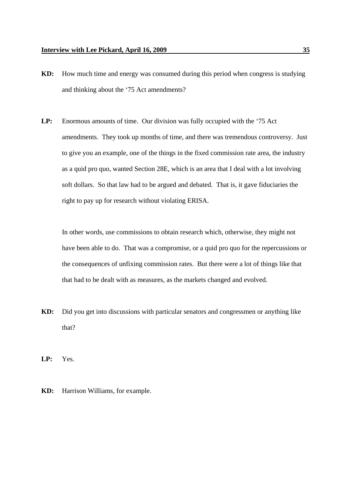- **KD:** How much time and energy was consumed during this period when congress is studying and thinking about the '75 Act amendments?
- **LP:** Enormous amounts of time. Our division was fully occupied with the '75 Act amendments. They took up months of time, and there was tremendous controversy. Just to give you an example, one of the things in the fixed commission rate area, the industry as a quid pro quo, wanted Section 28E, which is an area that I deal with a lot involving soft dollars. So that law had to be argued and debated. That is, it gave fiduciaries the right to pay up for research without violating ERISA.

In other words, use commissions to obtain research which, otherwise, they might not have been able to do. That was a compromise, or a quid pro quo for the repercussions or the consequences of unfixing commission rates. But there were a lot of things like that that had to be dealt with as measures, as the markets changed and evolved.

**KD:** Did you get into discussions with particular senators and congressmen or anything like that?

**LP:** Yes.

**KD:** Harrison Williams, for example.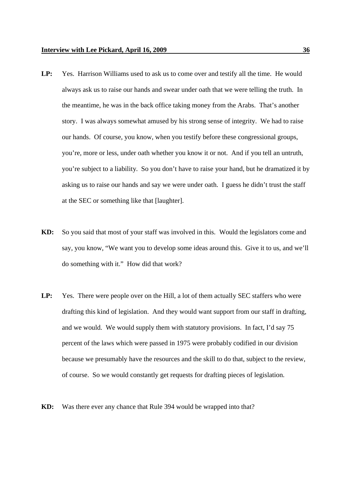- **LP:** Yes. Harrison Williams used to ask us to come over and testify all the time. He would always ask us to raise our hands and swear under oath that we were telling the truth. In the meantime, he was in the back office taking money from the Arabs. That's another story. I was always somewhat amused by his strong sense of integrity. We had to raise our hands. Of course, you know, when you testify before these congressional groups, you're, more or less, under oath whether you know it or not. And if you tell an untruth, you're subject to a liability. So you don't have to raise your hand, but he dramatized it by asking us to raise our hands and say we were under oath. I guess he didn't trust the staff at the SEC or something like that [laughter].
- **KD:** So you said that most of your staff was involved in this. Would the legislators come and say, you know, "We want you to develop some ideas around this. Give it to us, and we'll do something with it." How did that work?
- **LP:** Yes. There were people over on the Hill, a lot of them actually SEC staffers who were drafting this kind of legislation. And they would want support from our staff in drafting, and we would. We would supply them with statutory provisions. In fact, I'd say 75 percent of the laws which were passed in 1975 were probably codified in our division because we presumably have the resources and the skill to do that, subject to the review, of course. So we would constantly get requests for drafting pieces of legislation.
- **KD:** Was there ever any chance that Rule 394 would be wrapped into that?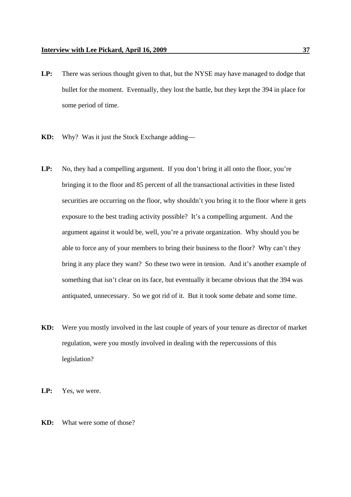- **LP:** There was serious thought given to that, but the NYSE may have managed to dodge that bullet for the moment. Eventually, they lost the battle, but they kept the 394 in place for some period of time.
- **KD:** Why? Was it just the Stock Exchange adding—
- LP: No, they had a compelling argument. If you don't bring it all onto the floor, you're bringing it to the floor and 85 percent of all the transactional activities in these listed securities are occurring on the floor, why shouldn't you bring it to the floor where it gets exposure to the best trading activity possible? It's a compelling argument. And the argument against it would be, well, you're a private organization. Why should you be able to force any of your members to bring their business to the floor? Why can't they bring it any place they want? So these two were in tension. And it's another example of something that isn't clear on its face, but eventually it became obvious that the 394 was antiquated, unnecessary. So we got rid of it. But it took some debate and some time.
- **KD:** Were you mostly involved in the last couple of years of your tenure as director of market regulation, were you mostly involved in dealing with the repercussions of this legislation?
- **LP:** Yes, we were.
- **KD:** What were some of those?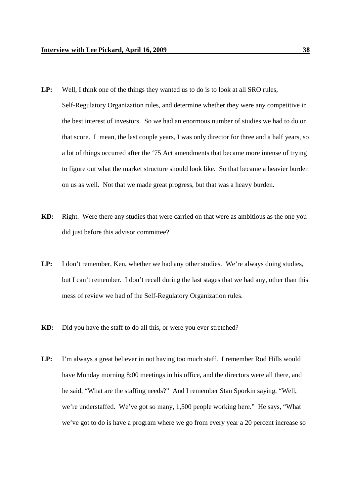- LP: Well, I think one of the things they wanted us to do is to look at all SRO rules, Self-Regulatory Organization rules, and determine whether they were any competitive in the best interest of investors. So we had an enormous number of studies we had to do on that score. I mean, the last couple years, I was only director for three and a half years, so a lot of things occurred after the '75 Act amendments that became more intense of trying to figure out what the market structure should look like. So that became a heavier burden on us as well. Not that we made great progress, but that was a heavy burden.
- **KD:** Right. Were there any studies that were carried on that were as ambitious as the one you did just before this advisor committee?
- **LP:** I don't remember, Ken, whether we had any other studies. We're always doing studies, but I can't remember. I don't recall during the last stages that we had any, other than this mess of review we had of the Self-Regulatory Organization rules.
- **KD:** Did you have the staff to do all this, or were you ever stretched?
- **LP:** I'm always a great believer in not having too much staff. I remember Rod Hills would have Monday morning 8:00 meetings in his office, and the directors were all there, and he said, "What are the staffing needs?" And I remember Stan Sporkin saying, "Well, we're understaffed. We've got so many, 1,500 people working here." He says, "What we've got to do is have a program where we go from every year a 20 percent increase so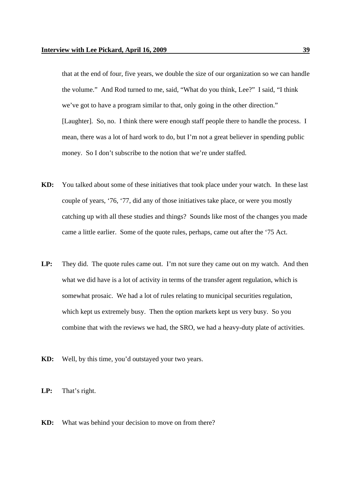that at the end of four, five years, we double the size of our organization so we can handle the volume." And Rod turned to me, said, "What do you think, Lee?" I said, "I think we've got to have a program similar to that, only going in the other direction." [Laughter]. So, no. I think there were enough staff people there to handle the process. I mean, there was a lot of hard work to do, but I'm not a great believer in spending public money. So I don't subscribe to the notion that we're under staffed.

- **KD:** You talked about some of these initiatives that took place under your watch. In these last couple of years, '76, '77, did any of those initiatives take place, or were you mostly catching up with all these studies and things? Sounds like most of the changes you made came a little earlier. Some of the quote rules, perhaps, came out after the '75 Act.
- **LP:** They did. The quote rules came out. I'm not sure they came out on my watch. And then what we did have is a lot of activity in terms of the transfer agent regulation, which is somewhat prosaic. We had a lot of rules relating to municipal securities regulation, which kept us extremely busy. Then the option markets kept us very busy. So you combine that with the reviews we had, the SRO, we had a heavy-duty plate of activities.
- **KD:** Well, by this time, you'd outstayed your two years.
- **LP:** That's right.
- **KD:** What was behind your decision to move on from there?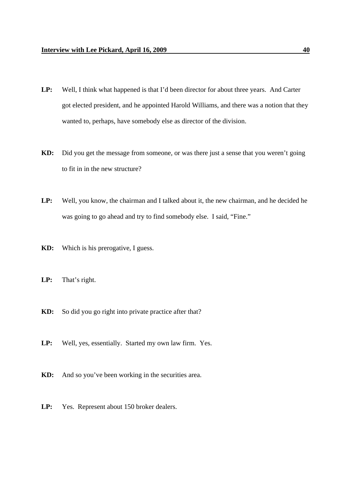- **LP:** Well, I think what happened is that I'd been director for about three years. And Carter got elected president, and he appointed Harold Williams, and there was a notion that they wanted to, perhaps, have somebody else as director of the division.
- **KD:** Did you get the message from someone, or was there just a sense that you weren't going to fit in in the new structure?
- **LP:** Well, you know, the chairman and I talked about it, the new chairman, and he decided he was going to go ahead and try to find somebody else. I said, "Fine."
- **KD:** Which is his prerogative, I guess.
- **LP:** That's right.
- **KD:** So did you go right into private practice after that?
- **LP:** Well, yes, essentially. Started my own law firm. Yes.
- **KD:** And so you've been working in the securities area.
- **LP:** Yes. Represent about 150 broker dealers.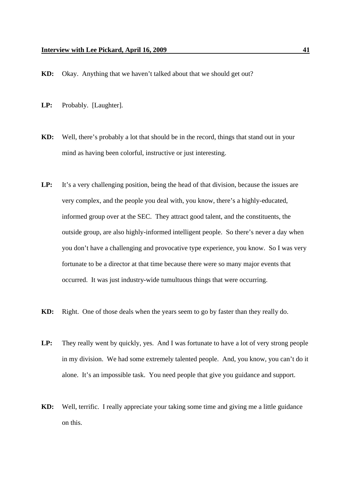- **KD:** Okay. Anything that we haven't talked about that we should get out?
- **LP:** Probably. [Laughter].
- **KD:** Well, there's probably a lot that should be in the record, things that stand out in your mind as having been colorful, instructive or just interesting.
- LP: It's a very challenging position, being the head of that division, because the issues are very complex, and the people you deal with, you know, there's a highly-educated, informed group over at the SEC. They attract good talent, and the constituents, the outside group, are also highly-informed intelligent people. So there's never a day when you don't have a challenging and provocative type experience, you know. So I was very fortunate to be a director at that time because there were so many major events that occurred. It was just industry-wide tumultuous things that were occurring.
- **KD:** Right. One of those deals when the years seem to go by faster than they really do.
- **LP:** They really went by quickly, yes. And I was fortunate to have a lot of very strong people in my division. We had some extremely talented people. And, you know, you can't do it alone. It's an impossible task. You need people that give you guidance and support.
- **KD:** Well, terrific. I really appreciate your taking some time and giving me a little guidance on this.